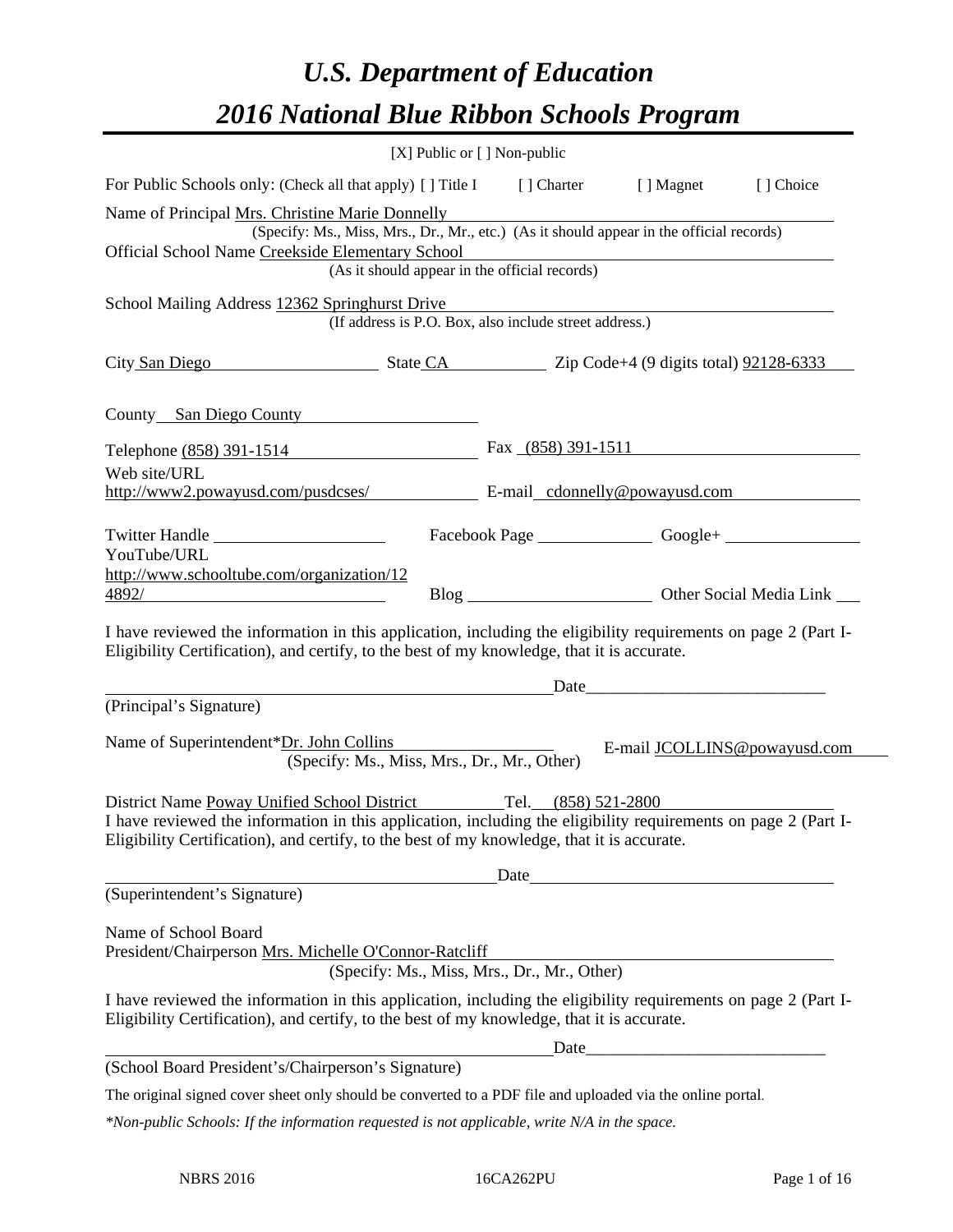# *U.S. Department of Education 2016 National Blue Ribbon Schools Program*

|                                                                                                                                                                                                                                                                                                                                                                                                                                               | $[X]$ Public or $[ ]$ Non-public |  |                              |
|-----------------------------------------------------------------------------------------------------------------------------------------------------------------------------------------------------------------------------------------------------------------------------------------------------------------------------------------------------------------------------------------------------------------------------------------------|----------------------------------|--|------------------------------|
| For Public Schools only: (Check all that apply) [] Title I [] Charter [] Magnet                                                                                                                                                                                                                                                                                                                                                               |                                  |  | [] Choice                    |
| Name of Principal Mrs. Christine Marie Donnelly<br>(Specify: Ms., Miss, Mrs., Dr., Mr., etc.) (As it should appear in the official records)<br>Official School Name Creekside Elementary School<br>(As it should appear in the official records)                                                                                                                                                                                              |                                  |  |                              |
| School Mailing Address 12362 Springhurst Drive<br>(If address is P.O. Box, also include street address.)                                                                                                                                                                                                                                                                                                                                      |                                  |  |                              |
| City San Diego State CA Zip Code+4 (9 digits total) 92128-6333                                                                                                                                                                                                                                                                                                                                                                                |                                  |  |                              |
| County San Diego County                                                                                                                                                                                                                                                                                                                                                                                                                       |                                  |  |                              |
| Telephone (858) 391-1514 Fax (858) 391-1511                                                                                                                                                                                                                                                                                                                                                                                                   |                                  |  |                              |
| Web site/URL<br>http://www2.powayusd.com/pusdcses/ E-mail_cdonnelly@powayusd.com                                                                                                                                                                                                                                                                                                                                                              |                                  |  |                              |
| Twitter Handle                                                                                                                                                                                                                                                                                                                                                                                                                                |                                  |  |                              |
| YouTube/URL<br>http://www.schooltube.com/organization/12                                                                                                                                                                                                                                                                                                                                                                                      |                                  |  |                              |
| I have reviewed the information in this application, including the eligibility requirements on page 2 (Part I-<br>Eligibility Certification), and certify, to the best of my knowledge, that it is accurate.<br>Date and the same state of the same state of the same state of the same state of the same state of the same state of the same state of the same state of the same state of the same state of the same state of the same state |                                  |  |                              |
| (Principal's Signature)                                                                                                                                                                                                                                                                                                                                                                                                                       |                                  |  |                              |
| Name of Superintendent*Dr. John Collins<br>(Specify: Ms., Miss, Mrs., Dr., Mr., Other)<br>District Name Poway Unified School District Tel. (858) 521-2800<br>I have reviewed the information in this application, including the eligibility requirements on page 2 (Part I-                                                                                                                                                                   |                                  |  | E-mail JCOLLINS@powayusd.com |
| Eligibility Certification), and certify, to the best of my knowledge, that it is accurate.                                                                                                                                                                                                                                                                                                                                                    |                                  |  |                              |
| (Superintendent's Signature)                                                                                                                                                                                                                                                                                                                                                                                                                  | Date                             |  |                              |
| Name of School Board<br>President/Chairperson Mrs. Michelle O'Connor-Ratcliff<br>(Specify: Ms., Miss, Mrs., Dr., Mr., Other)                                                                                                                                                                                                                                                                                                                  |                                  |  |                              |
| I have reviewed the information in this application, including the eligibility requirements on page 2 (Part I-<br>Eligibility Certification), and certify, to the best of my knowledge, that it is accurate.                                                                                                                                                                                                                                  |                                  |  |                              |
|                                                                                                                                                                                                                                                                                                                                                                                                                                               |                                  |  |                              |
| (School Board President's/Chairperson's Signature)                                                                                                                                                                                                                                                                                                                                                                                            |                                  |  |                              |
| The original signed cover sheet only should be converted to a PDF file and uploaded via the online portal.                                                                                                                                                                                                                                                                                                                                    |                                  |  |                              |
| *Non-public Schools: If the information requested is not applicable, write N/A in the space.                                                                                                                                                                                                                                                                                                                                                  |                                  |  |                              |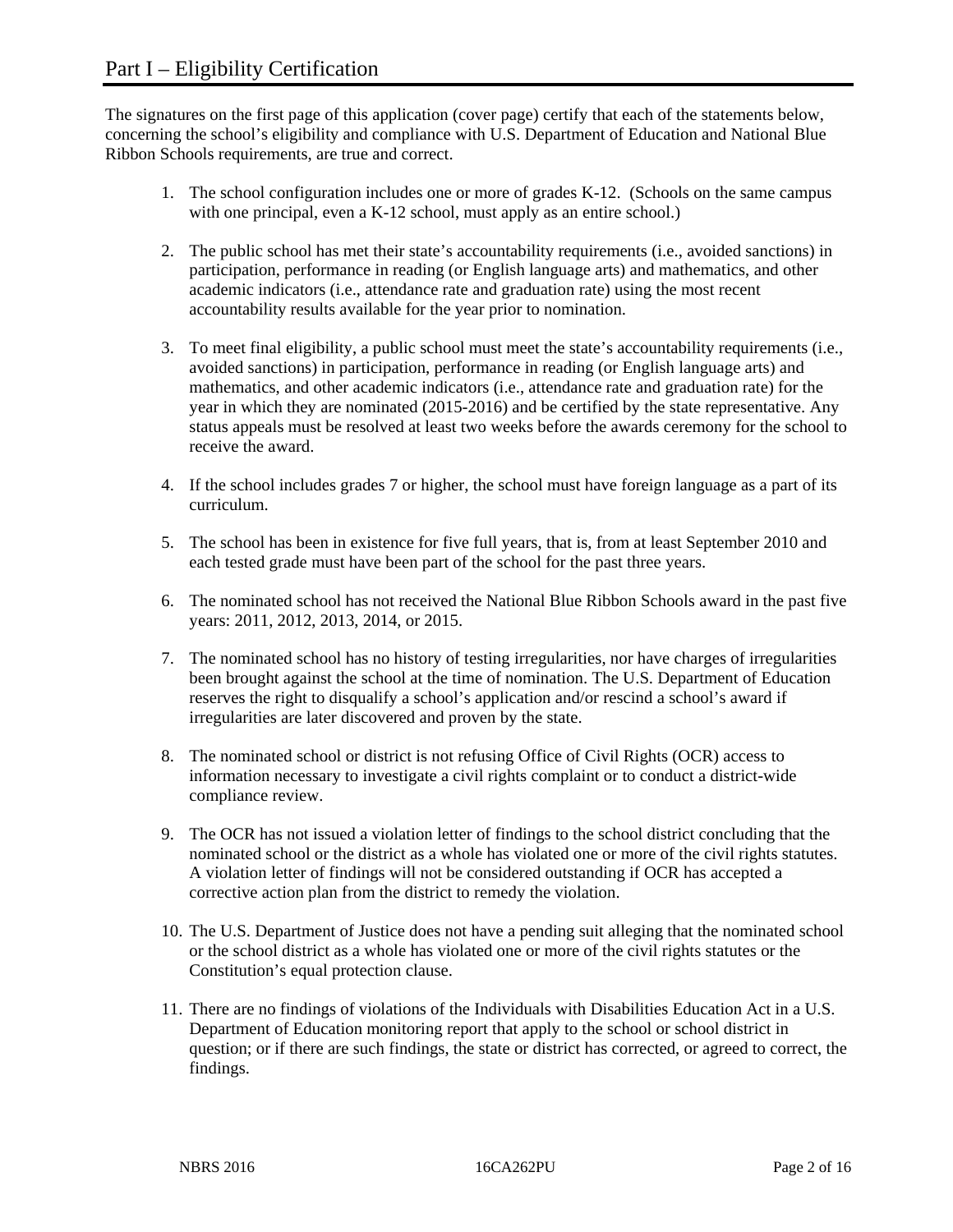The signatures on the first page of this application (cover page) certify that each of the statements below, concerning the school's eligibility and compliance with U.S. Department of Education and National Blue Ribbon Schools requirements, are true and correct.

- 1. The school configuration includes one or more of grades K-12. (Schools on the same campus with one principal, even a K-12 school, must apply as an entire school.)
- 2. The public school has met their state's accountability requirements (i.e., avoided sanctions) in participation, performance in reading (or English language arts) and mathematics, and other academic indicators (i.e., attendance rate and graduation rate) using the most recent accountability results available for the year prior to nomination.
- 3. To meet final eligibility, a public school must meet the state's accountability requirements (i.e., avoided sanctions) in participation, performance in reading (or English language arts) and mathematics, and other academic indicators (i.e., attendance rate and graduation rate) for the year in which they are nominated (2015-2016) and be certified by the state representative. Any status appeals must be resolved at least two weeks before the awards ceremony for the school to receive the award.
- 4. If the school includes grades 7 or higher, the school must have foreign language as a part of its curriculum.
- 5. The school has been in existence for five full years, that is, from at least September 2010 and each tested grade must have been part of the school for the past three years.
- 6. The nominated school has not received the National Blue Ribbon Schools award in the past five years: 2011, 2012, 2013, 2014, or 2015.
- 7. The nominated school has no history of testing irregularities, nor have charges of irregularities been brought against the school at the time of nomination. The U.S. Department of Education reserves the right to disqualify a school's application and/or rescind a school's award if irregularities are later discovered and proven by the state.
- 8. The nominated school or district is not refusing Office of Civil Rights (OCR) access to information necessary to investigate a civil rights complaint or to conduct a district-wide compliance review.
- 9. The OCR has not issued a violation letter of findings to the school district concluding that the nominated school or the district as a whole has violated one or more of the civil rights statutes. A violation letter of findings will not be considered outstanding if OCR has accepted a corrective action plan from the district to remedy the violation.
- 10. The U.S. Department of Justice does not have a pending suit alleging that the nominated school or the school district as a whole has violated one or more of the civil rights statutes or the Constitution's equal protection clause.
- 11. There are no findings of violations of the Individuals with Disabilities Education Act in a U.S. Department of Education monitoring report that apply to the school or school district in question; or if there are such findings, the state or district has corrected, or agreed to correct, the findings.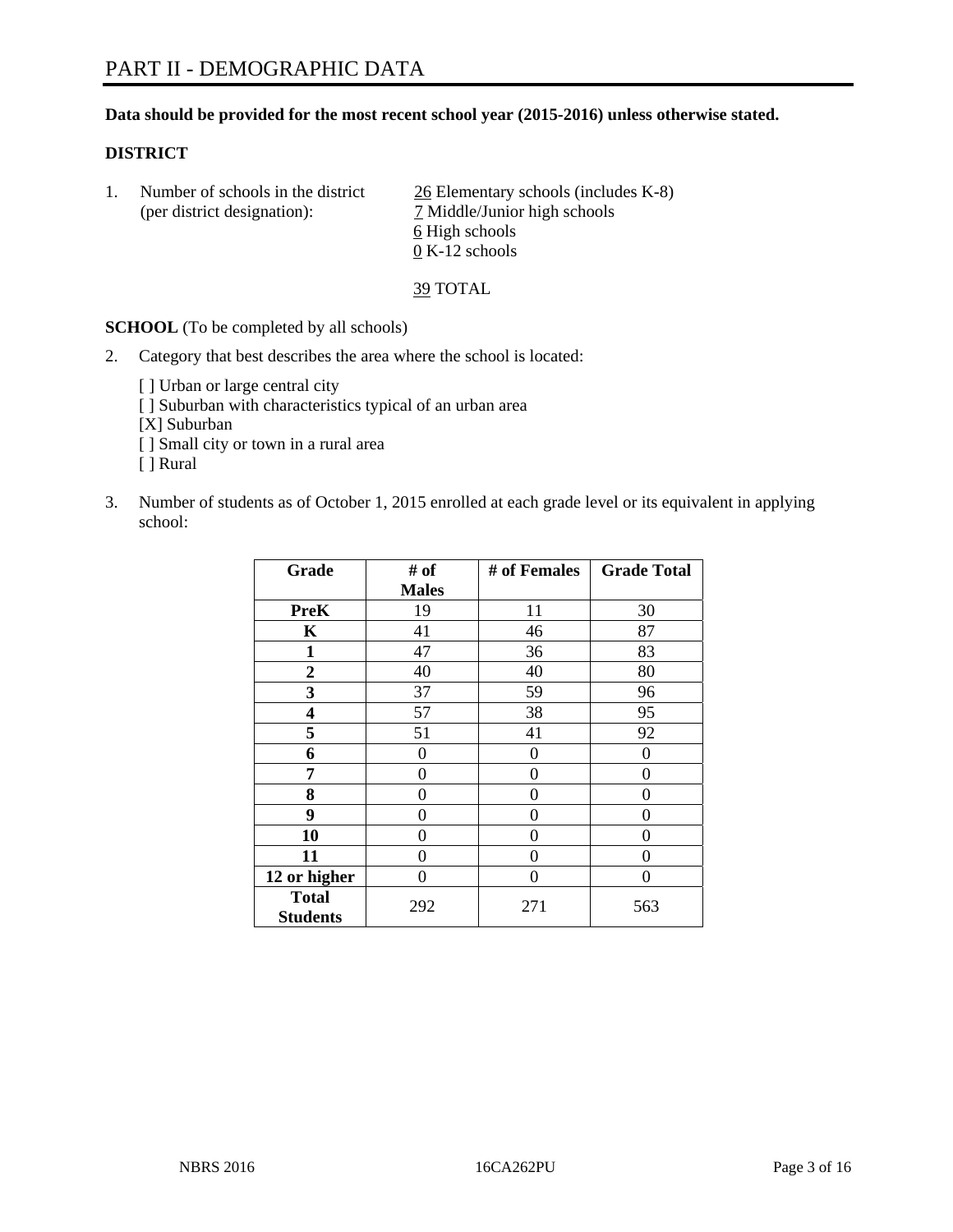# **Data should be provided for the most recent school year (2015-2016) unless otherwise stated.**

# **DISTRICT**

1. Number of schools in the district  $\frac{26}{2}$  Elementary schools (includes K-8) (per district designation): 7 Middle/Junior high schools 6 High schools 0 K-12 schools

39 TOTAL

**SCHOOL** (To be completed by all schools)

- 2. Category that best describes the area where the school is located:
	- [] Urban or large central city [ ] Suburban with characteristics typical of an urban area [X] Suburban [ ] Small city or town in a rural area [ ] Rural
- 3. Number of students as of October 1, 2015 enrolled at each grade level or its equivalent in applying school:

| Grade                           | # of         | # of Females | <b>Grade Total</b> |
|---------------------------------|--------------|--------------|--------------------|
|                                 | <b>Males</b> |              |                    |
| <b>PreK</b>                     | 19           | 11           | 30                 |
| $\mathbf K$                     | 41           | 46           | 87                 |
| 1                               | 47           | 36           | 83                 |
| $\overline{2}$                  | 40           | 40           | 80                 |
| 3                               | 37           | 59           | 96                 |
| $\overline{\mathbf{4}}$         | 57           | 38           | 95                 |
| 5                               | 51           | 41           | 92                 |
| 6                               | $\theta$     | $\theta$     | 0                  |
| 7                               | 0            | $\theta$     | 0                  |
| 8                               | 0            | $\theta$     | 0                  |
| 9                               | 0            | 0            | $\theta$           |
| 10                              | 0            | 0            | $\Omega$           |
| 11                              | 0            | 0            | 0                  |
| 12 or higher                    | 0            | 0            | 0                  |
| <b>Total</b><br><b>Students</b> | 292          | 271          | 563                |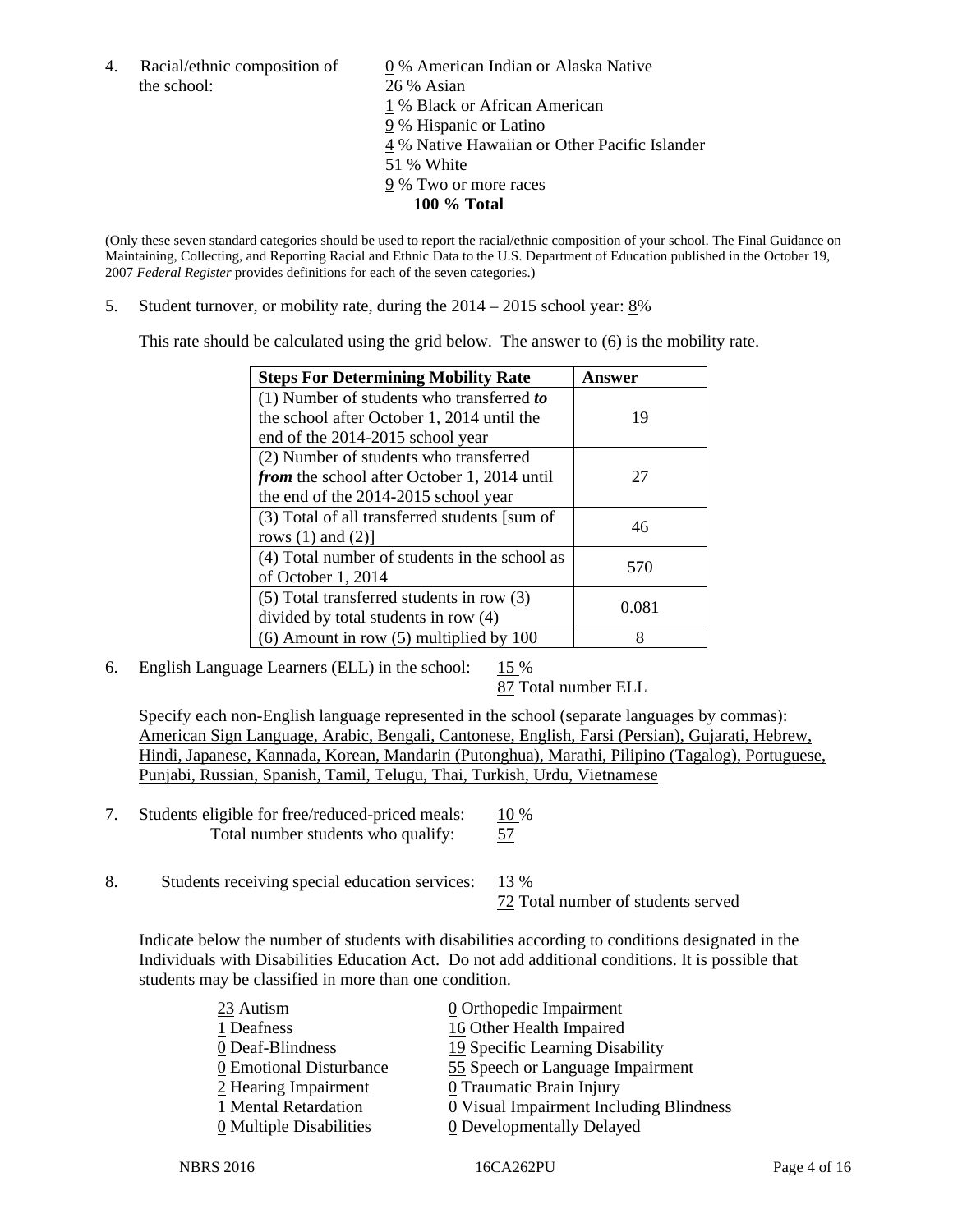the school: 26 % Asian

4. Racial/ethnic composition of  $\qquad 0\%$  American Indian or Alaska Native 1 % Black or African American 9 % Hispanic or Latino 4 % Native Hawaiian or Other Pacific Islander 51 % White 9 % Two or more races **100 % Total** 

(Only these seven standard categories should be used to report the racial/ethnic composition of your school. The Final Guidance on Maintaining, Collecting, and Reporting Racial and Ethnic Data to the U.S. Department of Education published in the October 19, 2007 *Federal Register* provides definitions for each of the seven categories.)

5. Student turnover, or mobility rate, during the  $2014 - 2015$  school year:  $8\%$ 

This rate should be calculated using the grid below. The answer to (6) is the mobility rate.

| <b>Steps For Determining Mobility Rate</b>         | Answer |  |
|----------------------------------------------------|--------|--|
| (1) Number of students who transferred to          |        |  |
| the school after October 1, 2014 until the         | 19     |  |
| end of the 2014-2015 school year                   |        |  |
| (2) Number of students who transferred             |        |  |
| <i>from</i> the school after October 1, 2014 until | 27     |  |
| the end of the 2014-2015 school year               |        |  |
| (3) Total of all transferred students [sum of      | 46     |  |
| rows $(1)$ and $(2)$ ]                             |        |  |
| (4) Total number of students in the school as      | 570    |  |
| of October 1, 2014                                 |        |  |
| (5) Total transferred students in row (3)          | 0.081  |  |
| divided by total students in row (4)               |        |  |
| $(6)$ Amount in row $(5)$ multiplied by 100        | 8      |  |

6. English Language Learners (ELL) in the school:  $15\%$ 

87 Total number ELL

 Specify each non-English language represented in the school (separate languages by commas): American Sign Language, Arabic, Bengali, Cantonese, English, Farsi (Persian), Gujarati, Hebrew, Hindi, Japanese, Kannada, Korean, Mandarin (Putonghua), Marathi, Pilipino (Tagalog), Portuguese, Punjabi, Russian, Spanish, Tamil, Telugu, Thai, Turkish, Urdu, Vietnamese

- 7. Students eligible for free/reduced-priced meals: 10 % Total number students who qualify: 57
- 8. Students receiving special education services: 13 %

72 Total number of students served

Indicate below the number of students with disabilities according to conditions designated in the Individuals with Disabilities Education Act. Do not add additional conditions. It is possible that students may be classified in more than one condition.

| 23 Autism               | 0 Orthopedic Impairment                 |
|-------------------------|-----------------------------------------|
| 1 Deafness              | 16 Other Health Impaired                |
| 0 Deaf-Blindness        | 19 Specific Learning Disability         |
| 0 Emotional Disturbance | 55 Speech or Language Impairment        |
| $2$ Hearing Impairment  | 0 Traumatic Brain Injury                |
| 1 Mental Retardation    | 0 Visual Impairment Including Blindness |
| 0 Multiple Disabilities | 0 Developmentally Delayed               |
|                         |                                         |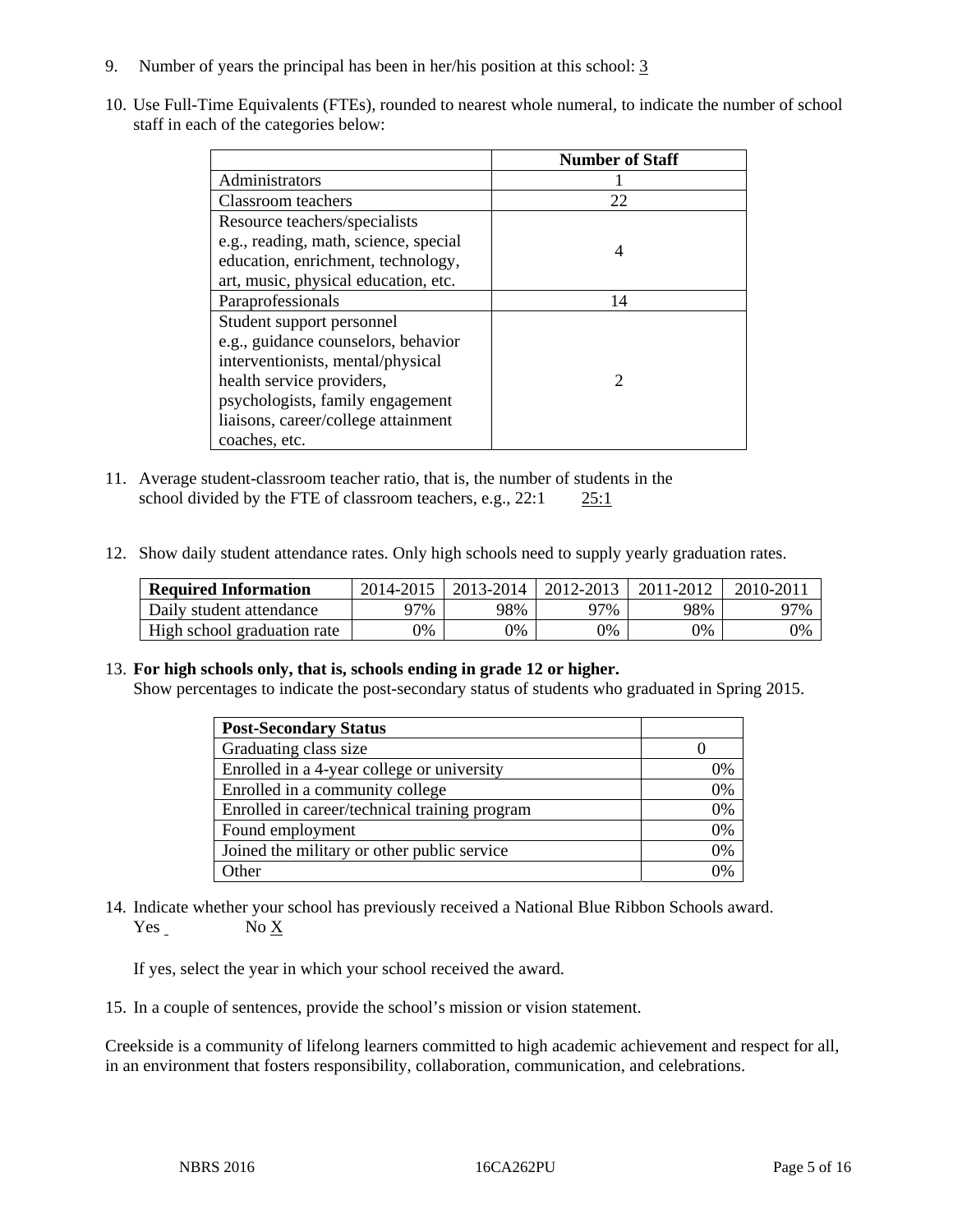- 9. Number of years the principal has been in her/his position at this school: 3
- 10. Use Full-Time Equivalents (FTEs), rounded to nearest whole numeral, to indicate the number of school staff in each of the categories below:

|                                       | <b>Number of Staff</b>      |
|---------------------------------------|-----------------------------|
| Administrators                        |                             |
| Classroom teachers                    | 22                          |
| Resource teachers/specialists         |                             |
| e.g., reading, math, science, special | 4                           |
| education, enrichment, technology,    |                             |
| art, music, physical education, etc.  |                             |
| Paraprofessionals                     | 14                          |
| Student support personnel             |                             |
| e.g., guidance counselors, behavior   |                             |
| interventionists, mental/physical     |                             |
| health service providers,             | $\mathcal{D}_{\mathcal{L}}$ |
| psychologists, family engagement      |                             |
| liaisons, career/college attainment   |                             |
| coaches, etc.                         |                             |

- 11. Average student-classroom teacher ratio, that is, the number of students in the school divided by the FTE of classroom teachers, e.g., 22:1 25:1
- 12. Show daily student attendance rates. Only high schools need to supply yearly graduation rates.

| <b>Required Information</b> | 2014-2015 | 2013-2014 l | 2012-2013 | 2011-2012 | 2010-2011 |
|-----------------------------|-----------|-------------|-----------|-----------|-----------|
| Daily student attendance    | 97%       | 98%         | 97%       | 98%       | 97%       |
| High school graduation rate | $9\%$     | $0\%$       | 0%        | 9%        | 0%        |

#### 13. **For high schools only, that is, schools ending in grade 12 or higher.**

Show percentages to indicate the post-secondary status of students who graduated in Spring 2015.

| <b>Post-Secondary Status</b>                  |    |
|-----------------------------------------------|----|
| Graduating class size                         |    |
| Enrolled in a 4-year college or university    | 0% |
| Enrolled in a community college               | 0% |
| Enrolled in career/technical training program | 0% |
| Found employment                              | 0% |
| Joined the military or other public service   | 0% |
| <b>Other</b>                                  | ገ% |

14. Indicate whether your school has previously received a National Blue Ribbon Schools award. Yes No X

If yes, select the year in which your school received the award.

15. In a couple of sentences, provide the school's mission or vision statement.

Creekside is a community of lifelong learners committed to high academic achievement and respect for all, in an environment that fosters responsibility, collaboration, communication, and celebrations.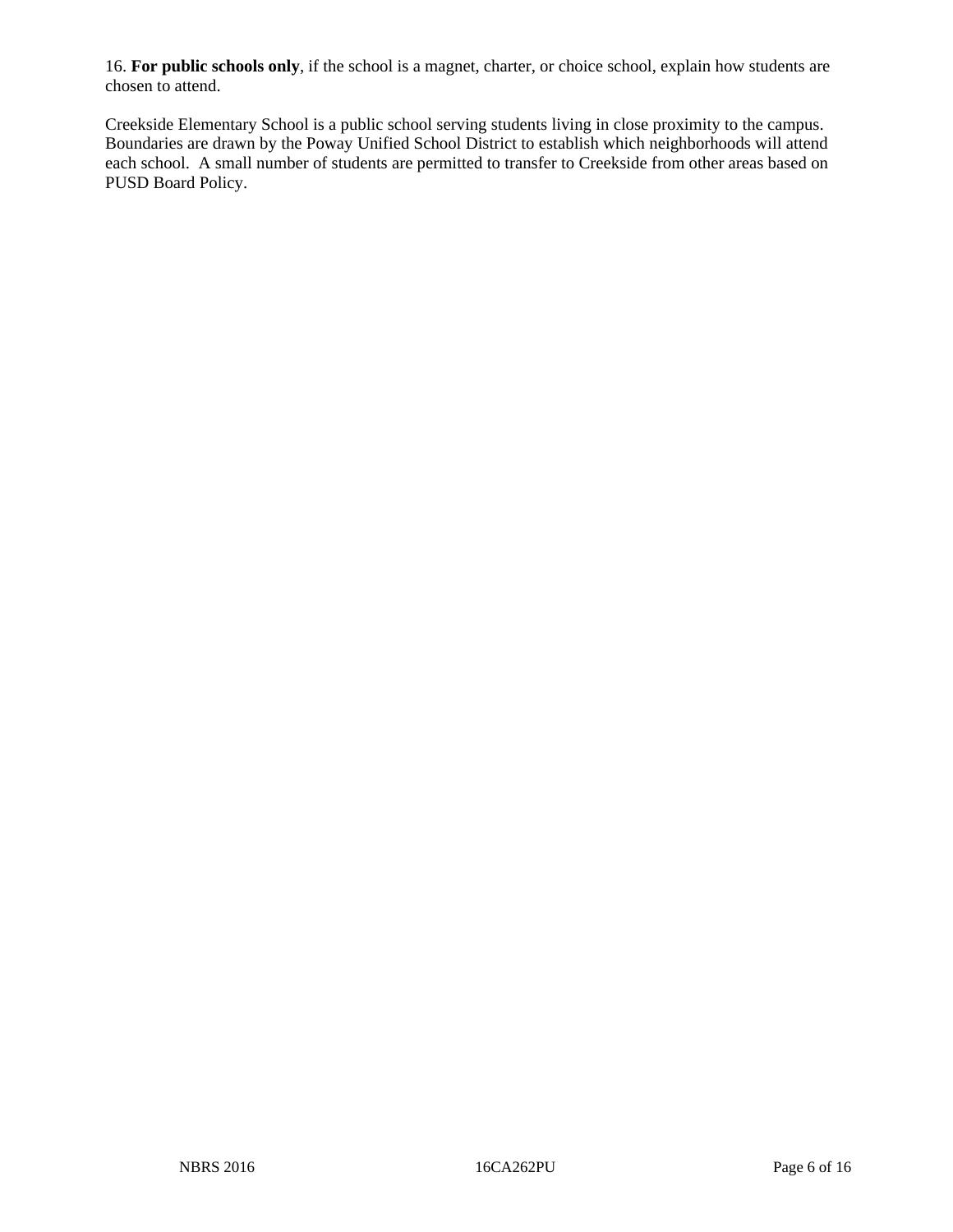16. **For public schools only**, if the school is a magnet, charter, or choice school, explain how students are chosen to attend.

Creekside Elementary School is a public school serving students living in close proximity to the campus. Boundaries are drawn by the Poway Unified School District to establish which neighborhoods will attend each school. A small number of students are permitted to transfer to Creekside from other areas based on PUSD Board Policy.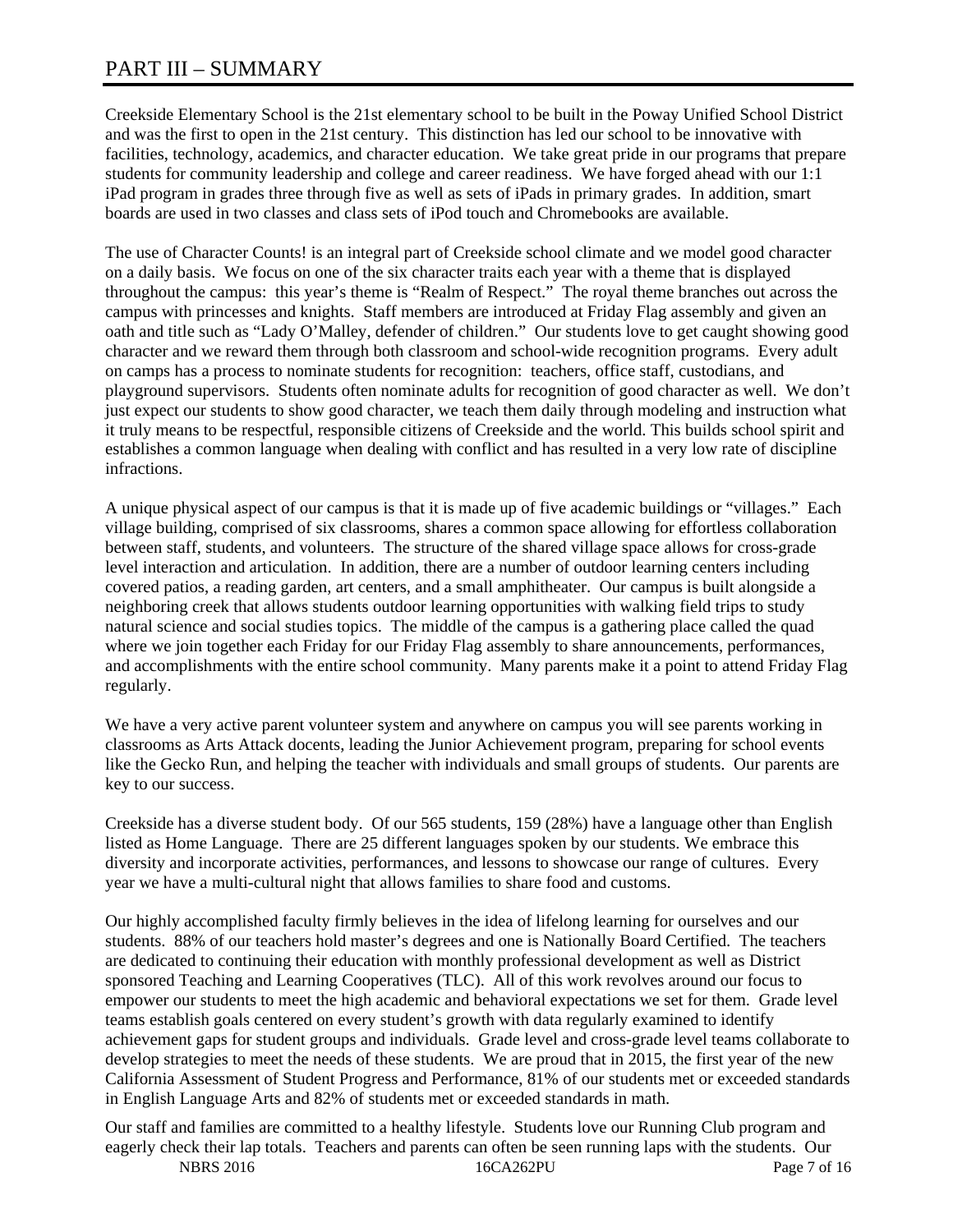# PART III – SUMMARY

Creekside Elementary School is the 21st elementary school to be built in the Poway Unified School District and was the first to open in the 21st century. This distinction has led our school to be innovative with facilities, technology, academics, and character education. We take great pride in our programs that prepare students for community leadership and college and career readiness. We have forged ahead with our 1:1 iPad program in grades three through five as well as sets of iPads in primary grades. In addition, smart boards are used in two classes and class sets of iPod touch and Chromebooks are available.

The use of Character Counts! is an integral part of Creekside school climate and we model good character on a daily basis. We focus on one of the six character traits each year with a theme that is displayed throughout the campus: this year's theme is "Realm of Respect." The royal theme branches out across the campus with princesses and knights. Staff members are introduced at Friday Flag assembly and given an oath and title such as "Lady O'Malley, defender of children." Our students love to get caught showing good character and we reward them through both classroom and school-wide recognition programs. Every adult on camps has a process to nominate students for recognition: teachers, office staff, custodians, and playground supervisors. Students often nominate adults for recognition of good character as well. We don't just expect our students to show good character, we teach them daily through modeling and instruction what it truly means to be respectful, responsible citizens of Creekside and the world. This builds school spirit and establishes a common language when dealing with conflict and has resulted in a very low rate of discipline infractions.

A unique physical aspect of our campus is that it is made up of five academic buildings or "villages." Each village building, comprised of six classrooms, shares a common space allowing for effortless collaboration between staff, students, and volunteers. The structure of the shared village space allows for cross-grade level interaction and articulation. In addition, there are a number of outdoor learning centers including covered patios, a reading garden, art centers, and a small amphitheater. Our campus is built alongside a neighboring creek that allows students outdoor learning opportunities with walking field trips to study natural science and social studies topics. The middle of the campus is a gathering place called the quad where we join together each Friday for our Friday Flag assembly to share announcements, performances, and accomplishments with the entire school community. Many parents make it a point to attend Friday Flag regularly.

We have a very active parent volunteer system and anywhere on campus you will see parents working in classrooms as Arts Attack docents, leading the Junior Achievement program, preparing for school events like the Gecko Run, and helping the teacher with individuals and small groups of students. Our parents are key to our success.

Creekside has a diverse student body. Of our 565 students, 159 (28%) have a language other than English listed as Home Language. There are 25 different languages spoken by our students. We embrace this diversity and incorporate activities, performances, and lessons to showcase our range of cultures. Every year we have a multi-cultural night that allows families to share food and customs.

Our highly accomplished faculty firmly believes in the idea of lifelong learning for ourselves and our students. 88% of our teachers hold master's degrees and one is Nationally Board Certified. The teachers are dedicated to continuing their education with monthly professional development as well as District sponsored Teaching and Learning Cooperatives (TLC). All of this work revolves around our focus to empower our students to meet the high academic and behavioral expectations we set for them. Grade level teams establish goals centered on every student's growth with data regularly examined to identify achievement gaps for student groups and individuals. Grade level and cross-grade level teams collaborate to develop strategies to meet the needs of these students. We are proud that in 2015, the first year of the new California Assessment of Student Progress and Performance, 81% of our students met or exceeded standards in English Language Arts and 82% of students met or exceeded standards in math.

NBRS 2016 16CA262PU Page 7 of 16 Our staff and families are committed to a healthy lifestyle. Students love our Running Club program and eagerly check their lap totals. Teachers and parents can often be seen running laps with the students. Our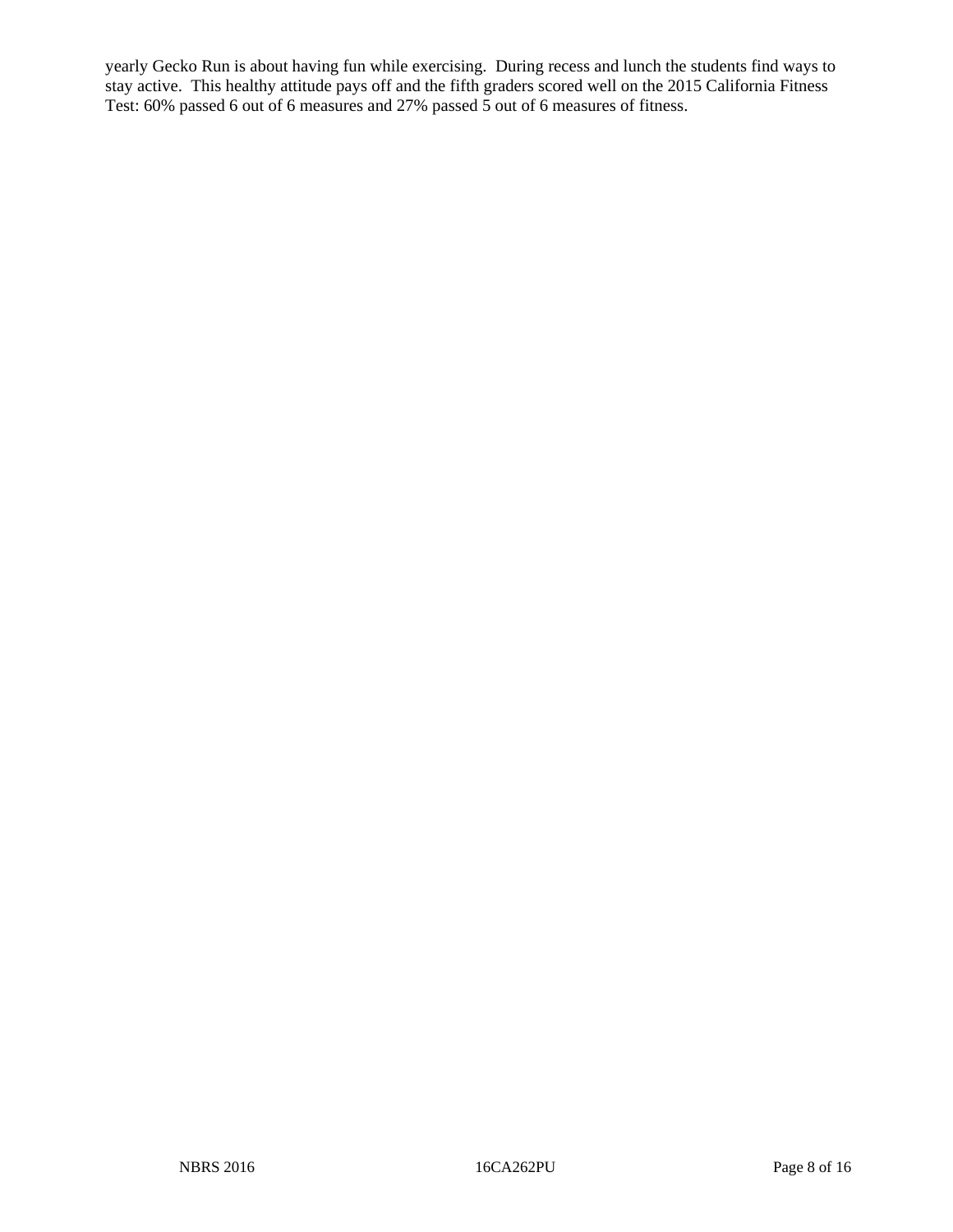yearly Gecko Run is about having fun while exercising. During recess and lunch the students find ways to stay active. This healthy attitude pays off and the fifth graders scored well on the 2015 California Fitness Test: 60% passed 6 out of 6 measures and 27% passed 5 out of 6 measures of fitness.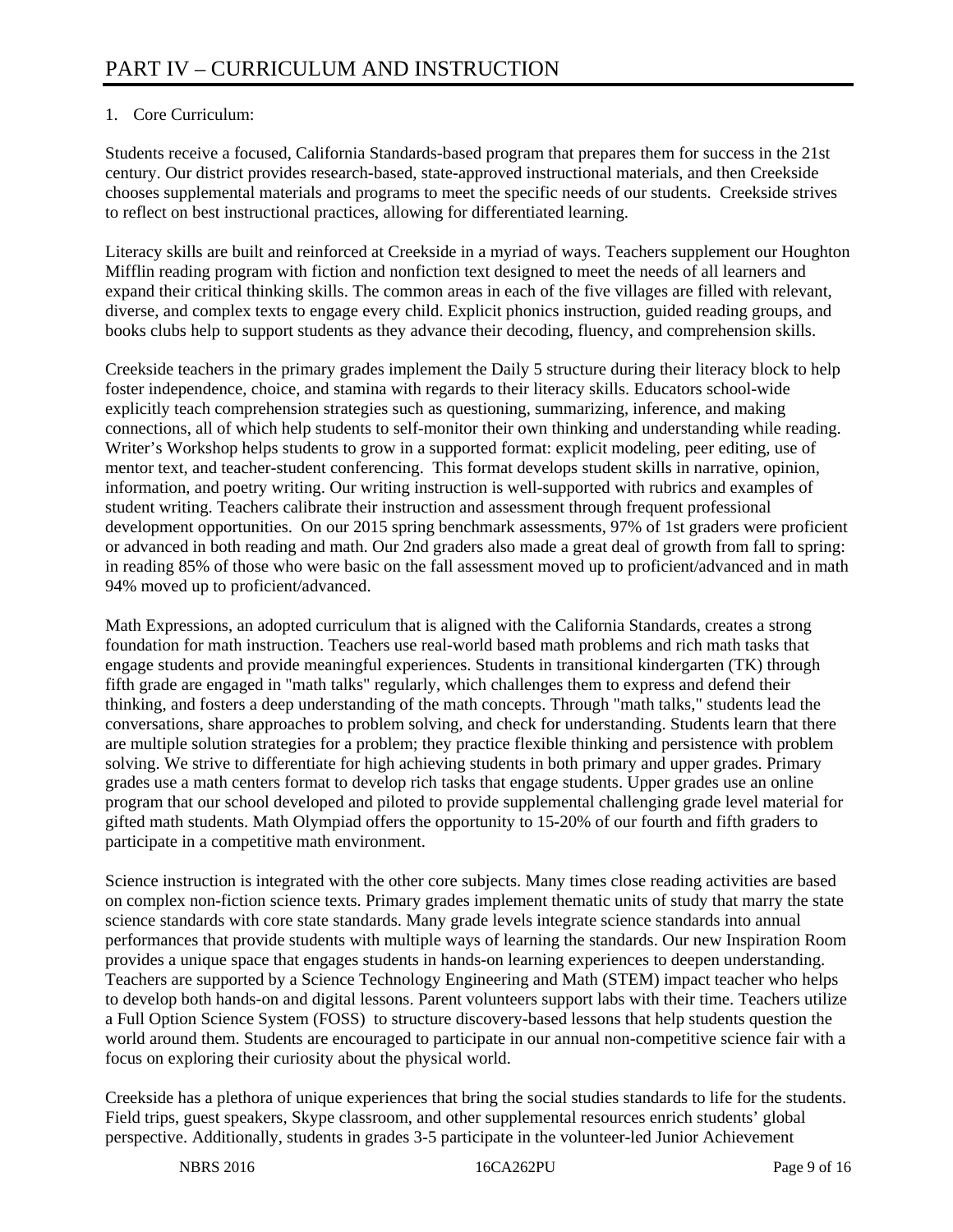# 1. Core Curriculum:

Students receive a focused, California Standards-based program that prepares them for success in the 21st century. Our district provides research-based, state-approved instructional materials, and then Creekside chooses supplemental materials and programs to meet the specific needs of our students. Creekside strives to reflect on best instructional practices, allowing for differentiated learning.

Literacy skills are built and reinforced at Creekside in a myriad of ways. Teachers supplement our Houghton Mifflin reading program with fiction and nonfiction text designed to meet the needs of all learners and expand their critical thinking skills. The common areas in each of the five villages are filled with relevant, diverse, and complex texts to engage every child. Explicit phonics instruction, guided reading groups, and books clubs help to support students as they advance their decoding, fluency, and comprehension skills.

Creekside teachers in the primary grades implement the Daily 5 structure during their literacy block to help foster independence, choice, and stamina with regards to their literacy skills. Educators school-wide explicitly teach comprehension strategies such as questioning, summarizing, inference, and making connections, all of which help students to self-monitor their own thinking and understanding while reading. Writer's Workshop helps students to grow in a supported format: explicit modeling, peer editing, use of mentor text, and teacher-student conferencing. This format develops student skills in narrative, opinion, information, and poetry writing. Our writing instruction is well-supported with rubrics and examples of student writing. Teachers calibrate their instruction and assessment through frequent professional development opportunities. On our 2015 spring benchmark assessments, 97% of 1st graders were proficient or advanced in both reading and math. Our 2nd graders also made a great deal of growth from fall to spring: in reading 85% of those who were basic on the fall assessment moved up to proficient/advanced and in math 94% moved up to proficient/advanced.

Math Expressions, an adopted curriculum that is aligned with the California Standards, creates a strong foundation for math instruction. Teachers use real-world based math problems and rich math tasks that engage students and provide meaningful experiences. Students in transitional kindergarten (TK) through fifth grade are engaged in "math talks" regularly, which challenges them to express and defend their thinking, and fosters a deep understanding of the math concepts. Through "math talks," students lead the conversations, share approaches to problem solving, and check for understanding. Students learn that there are multiple solution strategies for a problem; they practice flexible thinking and persistence with problem solving. We strive to differentiate for high achieving students in both primary and upper grades. Primary grades use a math centers format to develop rich tasks that engage students. Upper grades use an online program that our school developed and piloted to provide supplemental challenging grade level material for gifted math students. Math Olympiad offers the opportunity to 15-20% of our fourth and fifth graders to participate in a competitive math environment.

Science instruction is integrated with the other core subjects. Many times close reading activities are based on complex non-fiction science texts. Primary grades implement thematic units of study that marry the state science standards with core state standards. Many grade levels integrate science standards into annual performances that provide students with multiple ways of learning the standards. Our new Inspiration Room provides a unique space that engages students in hands-on learning experiences to deepen understanding. Teachers are supported by a Science Technology Engineering and Math (STEM) impact teacher who helps to develop both hands-on and digital lessons. Parent volunteers support labs with their time. Teachers utilize a Full Option Science System (FOSS) to structure discovery-based lessons that help students question the world around them. Students are encouraged to participate in our annual non-competitive science fair with a focus on exploring their curiosity about the physical world.

Creekside has a plethora of unique experiences that bring the social studies standards to life for the students. Field trips, guest speakers, Skype classroom, and other supplemental resources enrich students' global perspective. Additionally, students in grades 3-5 participate in the volunteer-led Junior Achievement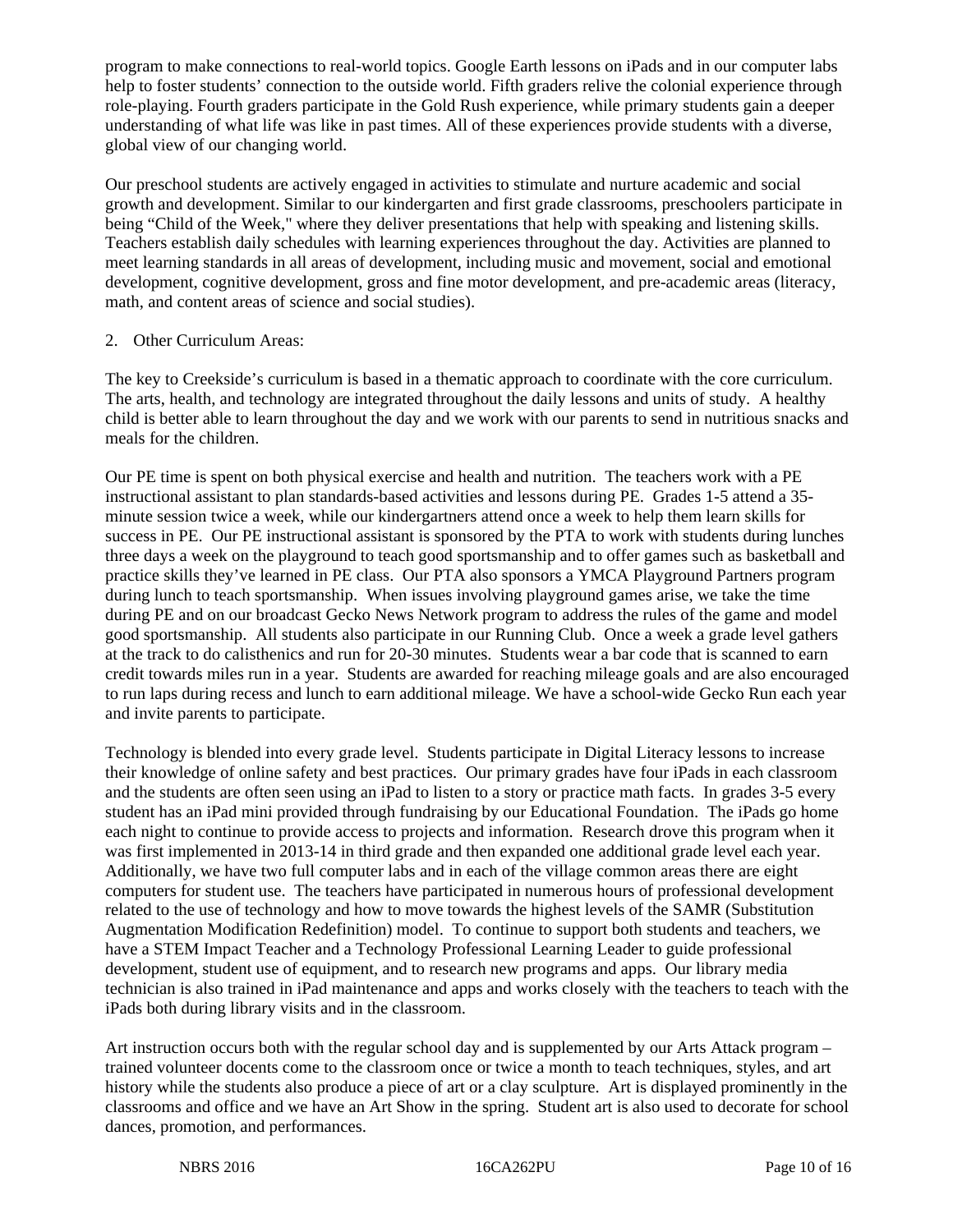program to make connections to real-world topics. Google Earth lessons on iPads and in our computer labs help to foster students' connection to the outside world. Fifth graders relive the colonial experience through role-playing. Fourth graders participate in the Gold Rush experience, while primary students gain a deeper understanding of what life was like in past times. All of these experiences provide students with a diverse, global view of our changing world.

Our preschool students are actively engaged in activities to stimulate and nurture academic and social growth and development. Similar to our kindergarten and first grade classrooms, preschoolers participate in being "Child of the Week," where they deliver presentations that help with speaking and listening skills. Teachers establish daily schedules with learning experiences throughout the day. Activities are planned to meet learning standards in all areas of development, including music and movement, social and emotional development, cognitive development, gross and fine motor development, and pre-academic areas (literacy, math, and content areas of science and social studies).

### 2. Other Curriculum Areas:

The key to Creekside's curriculum is based in a thematic approach to coordinate with the core curriculum. The arts, health, and technology are integrated throughout the daily lessons and units of study. A healthy child is better able to learn throughout the day and we work with our parents to send in nutritious snacks and meals for the children.

Our PE time is spent on both physical exercise and health and nutrition. The teachers work with a PE instructional assistant to plan standards-based activities and lessons during PE. Grades 1-5 attend a 35 minute session twice a week, while our kindergartners attend once a week to help them learn skills for success in PE. Our PE instructional assistant is sponsored by the PTA to work with students during lunches three days a week on the playground to teach good sportsmanship and to offer games such as basketball and practice skills they've learned in PE class. Our PTA also sponsors a YMCA Playground Partners program during lunch to teach sportsmanship. When issues involving playground games arise, we take the time during PE and on our broadcast Gecko News Network program to address the rules of the game and model good sportsmanship. All students also participate in our Running Club. Once a week a grade level gathers at the track to do calisthenics and run for 20-30 minutes. Students wear a bar code that is scanned to earn credit towards miles run in a year. Students are awarded for reaching mileage goals and are also encouraged to run laps during recess and lunch to earn additional mileage. We have a school-wide Gecko Run each year and invite parents to participate.

Technology is blended into every grade level. Students participate in Digital Literacy lessons to increase their knowledge of online safety and best practices. Our primary grades have four iPads in each classroom and the students are often seen using an iPad to listen to a story or practice math facts. In grades 3-5 every student has an iPad mini provided through fundraising by our Educational Foundation. The iPads go home each night to continue to provide access to projects and information. Research drove this program when it was first implemented in 2013-14 in third grade and then expanded one additional grade level each year. Additionally, we have two full computer labs and in each of the village common areas there are eight computers for student use. The teachers have participated in numerous hours of professional development related to the use of technology and how to move towards the highest levels of the SAMR (Substitution Augmentation Modification Redefinition) model. To continue to support both students and teachers, we have a STEM Impact Teacher and a Technology Professional Learning Leader to guide professional development, student use of equipment, and to research new programs and apps. Our library media technician is also trained in iPad maintenance and apps and works closely with the teachers to teach with the iPads both during library visits and in the classroom.

Art instruction occurs both with the regular school day and is supplemented by our Arts Attack program – trained volunteer docents come to the classroom once or twice a month to teach techniques, styles, and art history while the students also produce a piece of art or a clay sculpture. Art is displayed prominently in the classrooms and office and we have an Art Show in the spring. Student art is also used to decorate for school dances, promotion, and performances.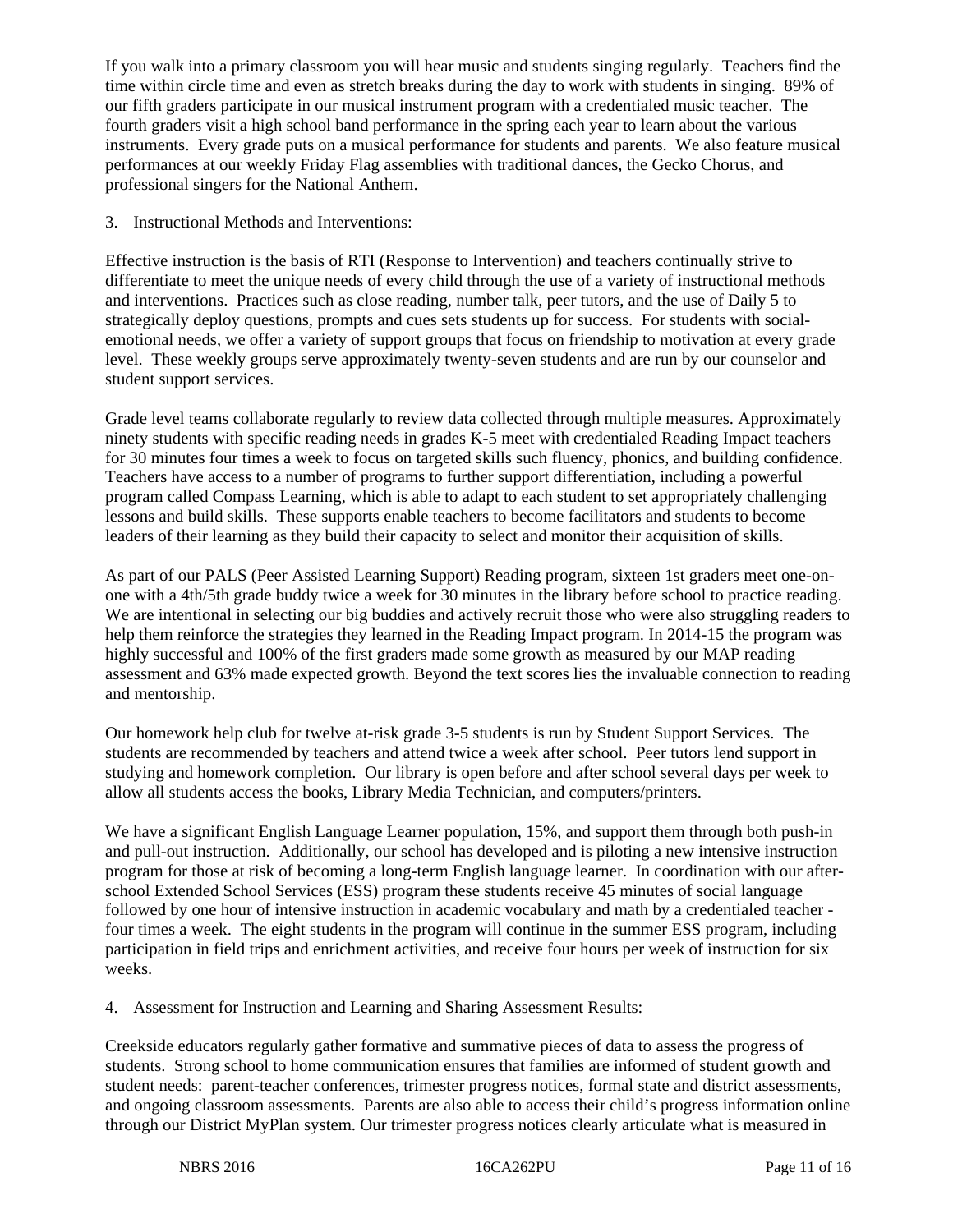If you walk into a primary classroom you will hear music and students singing regularly. Teachers find the time within circle time and even as stretch breaks during the day to work with students in singing. 89% of our fifth graders participate in our musical instrument program with a credentialed music teacher. The fourth graders visit a high school band performance in the spring each year to learn about the various instruments. Every grade puts on a musical performance for students and parents. We also feature musical performances at our weekly Friday Flag assemblies with traditional dances, the Gecko Chorus, and professional singers for the National Anthem.

3. Instructional Methods and Interventions:

Effective instruction is the basis of RTI (Response to Intervention) and teachers continually strive to differentiate to meet the unique needs of every child through the use of a variety of instructional methods and interventions. Practices such as close reading, number talk, peer tutors, and the use of Daily 5 to strategically deploy questions, prompts and cues sets students up for success. For students with socialemotional needs, we offer a variety of support groups that focus on friendship to motivation at every grade level. These weekly groups serve approximately twenty-seven students and are run by our counselor and student support services.

Grade level teams collaborate regularly to review data collected through multiple measures. Approximately ninety students with specific reading needs in grades K-5 meet with credentialed Reading Impact teachers for 30 minutes four times a week to focus on targeted skills such fluency, phonics, and building confidence. Teachers have access to a number of programs to further support differentiation, including a powerful program called Compass Learning, which is able to adapt to each student to set appropriately challenging lessons and build skills. These supports enable teachers to become facilitators and students to become leaders of their learning as they build their capacity to select and monitor their acquisition of skills.

As part of our PALS (Peer Assisted Learning Support) Reading program, sixteen 1st graders meet one-onone with a 4th/5th grade buddy twice a week for 30 minutes in the library before school to practice reading. We are intentional in selecting our big buddies and actively recruit those who were also struggling readers to help them reinforce the strategies they learned in the Reading Impact program. In 2014-15 the program was highly successful and 100% of the first graders made some growth as measured by our MAP reading assessment and 63% made expected growth. Beyond the text scores lies the invaluable connection to reading and mentorship.

Our homework help club for twelve at-risk grade 3-5 students is run by Student Support Services. The students are recommended by teachers and attend twice a week after school. Peer tutors lend support in studying and homework completion. Our library is open before and after school several days per week to allow all students access the books, Library Media Technician, and computers/printers.

We have a significant English Language Learner population, 15%, and support them through both push-in and pull-out instruction. Additionally, our school has developed and is piloting a new intensive instruction program for those at risk of becoming a long-term English language learner. In coordination with our afterschool Extended School Services (ESS) program these students receive 45 minutes of social language followed by one hour of intensive instruction in academic vocabulary and math by a credentialed teacher four times a week. The eight students in the program will continue in the summer ESS program, including participation in field trips and enrichment activities, and receive four hours per week of instruction for six weeks.

4. Assessment for Instruction and Learning and Sharing Assessment Results:

Creekside educators regularly gather formative and summative pieces of data to assess the progress of students. Strong school to home communication ensures that families are informed of student growth and student needs: parent-teacher conferences, trimester progress notices, formal state and district assessments, and ongoing classroom assessments. Parents are also able to access their child's progress information online through our District MyPlan system. Our trimester progress notices clearly articulate what is measured in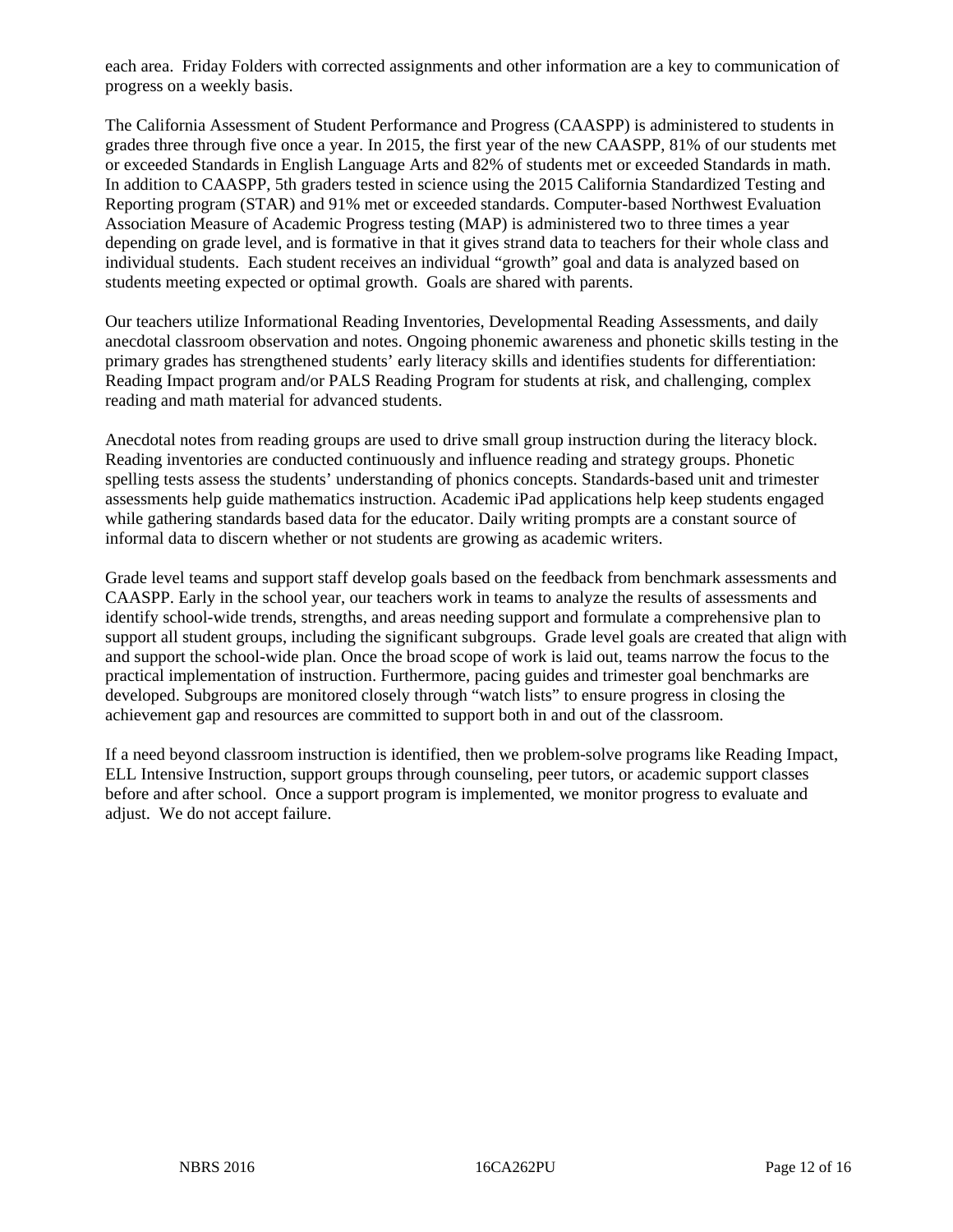each area. Friday Folders with corrected assignments and other information are a key to communication of progress on a weekly basis.

The California Assessment of Student Performance and Progress (CAASPP) is administered to students in grades three through five once a year. In 2015, the first year of the new CAASPP, 81% of our students met or exceeded Standards in English Language Arts and 82% of students met or exceeded Standards in math. In addition to CAASPP, 5th graders tested in science using the 2015 California Standardized Testing and Reporting program (STAR) and 91% met or exceeded standards. Computer-based Northwest Evaluation Association Measure of Academic Progress testing (MAP) is administered two to three times a year depending on grade level, and is formative in that it gives strand data to teachers for their whole class and individual students. Each student receives an individual "growth" goal and data is analyzed based on students meeting expected or optimal growth. Goals are shared with parents.

Our teachers utilize Informational Reading Inventories, Developmental Reading Assessments, and daily anecdotal classroom observation and notes. Ongoing phonemic awareness and phonetic skills testing in the primary grades has strengthened students' early literacy skills and identifies students for differentiation: Reading Impact program and/or PALS Reading Program for students at risk, and challenging, complex reading and math material for advanced students.

Anecdotal notes from reading groups are used to drive small group instruction during the literacy block. Reading inventories are conducted continuously and influence reading and strategy groups. Phonetic spelling tests assess the students' understanding of phonics concepts. Standards-based unit and trimester assessments help guide mathematics instruction. Academic iPad applications help keep students engaged while gathering standards based data for the educator. Daily writing prompts are a constant source of informal data to discern whether or not students are growing as academic writers.

Grade level teams and support staff develop goals based on the feedback from benchmark assessments and CAASPP. Early in the school year, our teachers work in teams to analyze the results of assessments and identify school-wide trends, strengths, and areas needing support and formulate a comprehensive plan to support all student groups, including the significant subgroups. Grade level goals are created that align with and support the school-wide plan. Once the broad scope of work is laid out, teams narrow the focus to the practical implementation of instruction. Furthermore, pacing guides and trimester goal benchmarks are developed. Subgroups are monitored closely through "watch lists" to ensure progress in closing the achievement gap and resources are committed to support both in and out of the classroom.

If a need beyond classroom instruction is identified, then we problem-solve programs like Reading Impact, ELL Intensive Instruction, support groups through counseling, peer tutors, or academic support classes before and after school. Once a support program is implemented, we monitor progress to evaluate and adjust. We do not accept failure.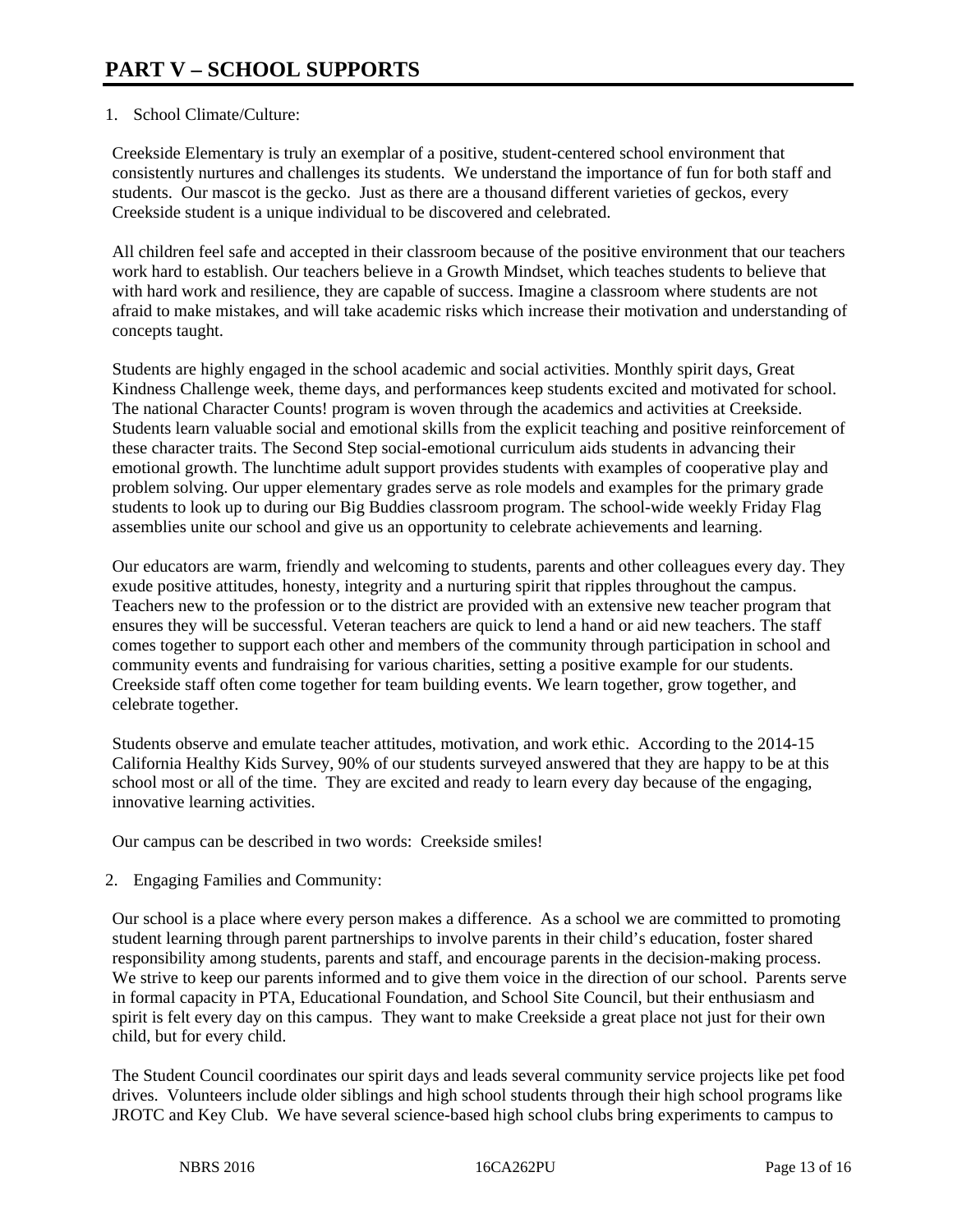# 1. School Climate/Culture:

Creekside Elementary is truly an exemplar of a positive, student-centered school environment that consistently nurtures and challenges its students. We understand the importance of fun for both staff and students. Our mascot is the gecko. Just as there are a thousand different varieties of geckos, every Creekside student is a unique individual to be discovered and celebrated.

All children feel safe and accepted in their classroom because of the positive environment that our teachers work hard to establish. Our teachers believe in a Growth Mindset, which teaches students to believe that with hard work and resilience, they are capable of success. Imagine a classroom where students are not afraid to make mistakes, and will take academic risks which increase their motivation and understanding of concepts taught.

Students are highly engaged in the school academic and social activities. Monthly spirit days, Great Kindness Challenge week, theme days, and performances keep students excited and motivated for school. The national Character Counts! program is woven through the academics and activities at Creekside. Students learn valuable social and emotional skills from the explicit teaching and positive reinforcement of these character traits. The Second Step social-emotional curriculum aids students in advancing their emotional growth. The lunchtime adult support provides students with examples of cooperative play and problem solving. Our upper elementary grades serve as role models and examples for the primary grade students to look up to during our Big Buddies classroom program. The school-wide weekly Friday Flag assemblies unite our school and give us an opportunity to celebrate achievements and learning.

Our educators are warm, friendly and welcoming to students, parents and other colleagues every day. They exude positive attitudes, honesty, integrity and a nurturing spirit that ripples throughout the campus. Teachers new to the profession or to the district are provided with an extensive new teacher program that ensures they will be successful. Veteran teachers are quick to lend a hand or aid new teachers. The staff comes together to support each other and members of the community through participation in school and community events and fundraising for various charities, setting a positive example for our students. Creekside staff often come together for team building events. We learn together, grow together, and celebrate together.

Students observe and emulate teacher attitudes, motivation, and work ethic. According to the 2014-15 California Healthy Kids Survey, 90% of our students surveyed answered that they are happy to be at this school most or all of the time. They are excited and ready to learn every day because of the engaging, innovative learning activities.

Our campus can be described in two words: Creekside smiles!

2. Engaging Families and Community:

Our school is a place where every person makes a difference. As a school we are committed to promoting student learning through parent partnerships to involve parents in their child's education, foster shared responsibility among students, parents and staff, and encourage parents in the decision-making process. We strive to keep our parents informed and to give them voice in the direction of our school. Parents serve in formal capacity in PTA, Educational Foundation, and School Site Council, but their enthusiasm and spirit is felt every day on this campus. They want to make Creekside a great place not just for their own child, but for every child.

The Student Council coordinates our spirit days and leads several community service projects like pet food drives. Volunteers include older siblings and high school students through their high school programs like JROTC and Key Club. We have several science-based high school clubs bring experiments to campus to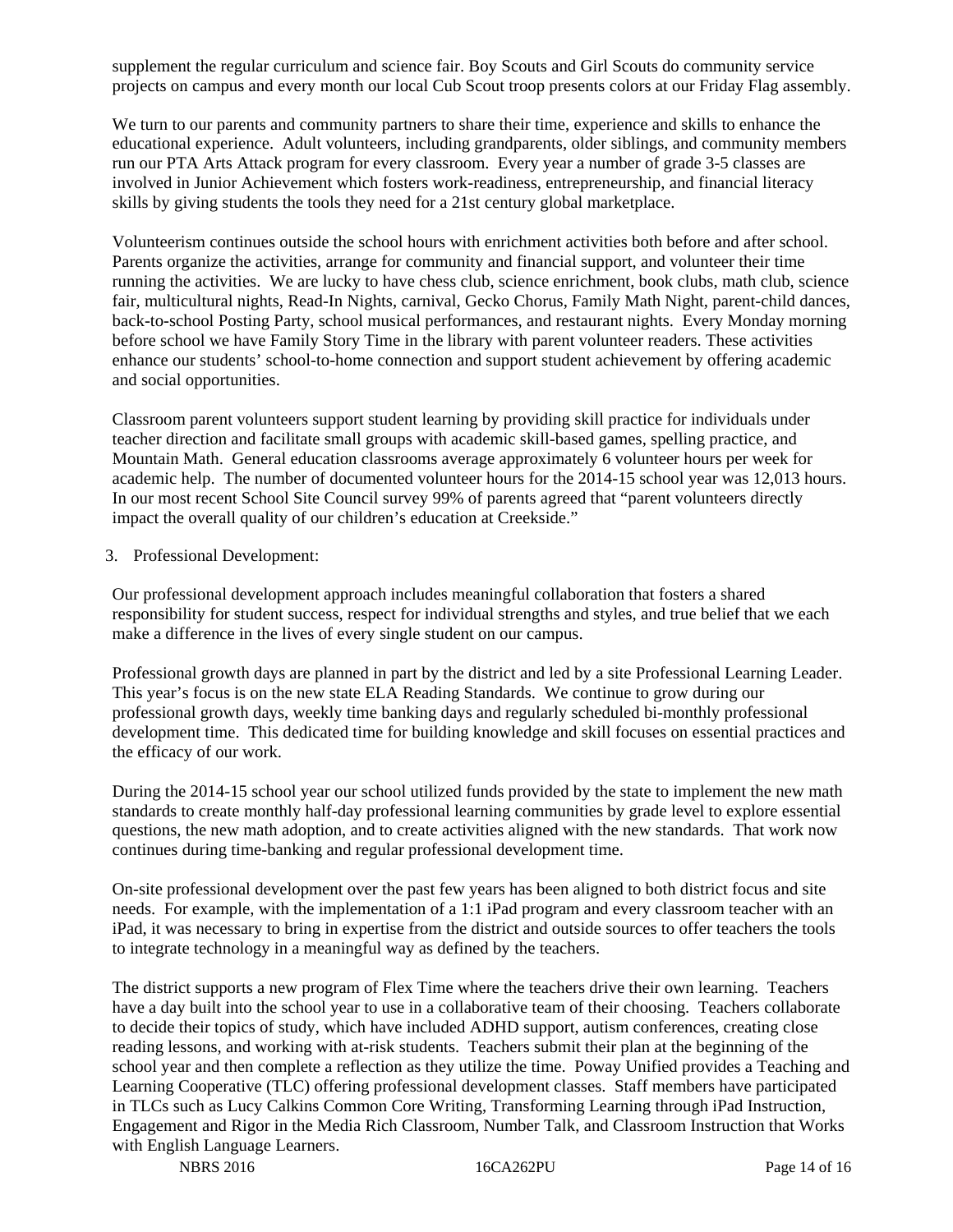supplement the regular curriculum and science fair. Boy Scouts and Girl Scouts do community service projects on campus and every month our local Cub Scout troop presents colors at our Friday Flag assembly.

We turn to our parents and community partners to share their time, experience and skills to enhance the educational experience. Adult volunteers, including grandparents, older siblings, and community members run our PTA Arts Attack program for every classroom. Every year a number of grade 3-5 classes are involved in Junior Achievement which fosters work-readiness, entrepreneurship, and financial literacy skills by giving students the tools they need for a 21st century global marketplace.

Volunteerism continues outside the school hours with enrichment activities both before and after school. Parents organize the activities, arrange for community and financial support, and volunteer their time running the activities. We are lucky to have chess club, science enrichment, book clubs, math club, science fair, multicultural nights, Read-In Nights, carnival, Gecko Chorus, Family Math Night, parent-child dances, back-to-school Posting Party, school musical performances, and restaurant nights. Every Monday morning before school we have Family Story Time in the library with parent volunteer readers. These activities enhance our students' school-to-home connection and support student achievement by offering academic and social opportunities.

Classroom parent volunteers support student learning by providing skill practice for individuals under teacher direction and facilitate small groups with academic skill-based games, spelling practice, and Mountain Math. General education classrooms average approximately 6 volunteer hours per week for academic help. The number of documented volunteer hours for the 2014-15 school year was 12,013 hours. In our most recent School Site Council survey 99% of parents agreed that "parent volunteers directly impact the overall quality of our children's education at Creekside."

## 3. Professional Development:

Our professional development approach includes meaningful collaboration that fosters a shared responsibility for student success, respect for individual strengths and styles, and true belief that we each make a difference in the lives of every single student on our campus.

Professional growth days are planned in part by the district and led by a site Professional Learning Leader. This year's focus is on the new state ELA Reading Standards. We continue to grow during our professional growth days, weekly time banking days and regularly scheduled bi-monthly professional development time. This dedicated time for building knowledge and skill focuses on essential practices and the efficacy of our work.

During the 2014-15 school year our school utilized funds provided by the state to implement the new math standards to create monthly half-day professional learning communities by grade level to explore essential questions, the new math adoption, and to create activities aligned with the new standards. That work now continues during time-banking and regular professional development time.

On-site professional development over the past few years has been aligned to both district focus and site needs. For example, with the implementation of a 1:1 iPad program and every classroom teacher with an iPad, it was necessary to bring in expertise from the district and outside sources to offer teachers the tools to integrate technology in a meaningful way as defined by the teachers.

The district supports a new program of Flex Time where the teachers drive their own learning. Teachers have a day built into the school year to use in a collaborative team of their choosing. Teachers collaborate to decide their topics of study, which have included ADHD support, autism conferences, creating close reading lessons, and working with at-risk students. Teachers submit their plan at the beginning of the school year and then complete a reflection as they utilize the time. Poway Unified provides a Teaching and Learning Cooperative (TLC) offering professional development classes. Staff members have participated in TLCs such as Lucy Calkins Common Core Writing, Transforming Learning through iPad Instruction, Engagement and Rigor in the Media Rich Classroom, Number Talk, and Classroom Instruction that Works with English Language Learners.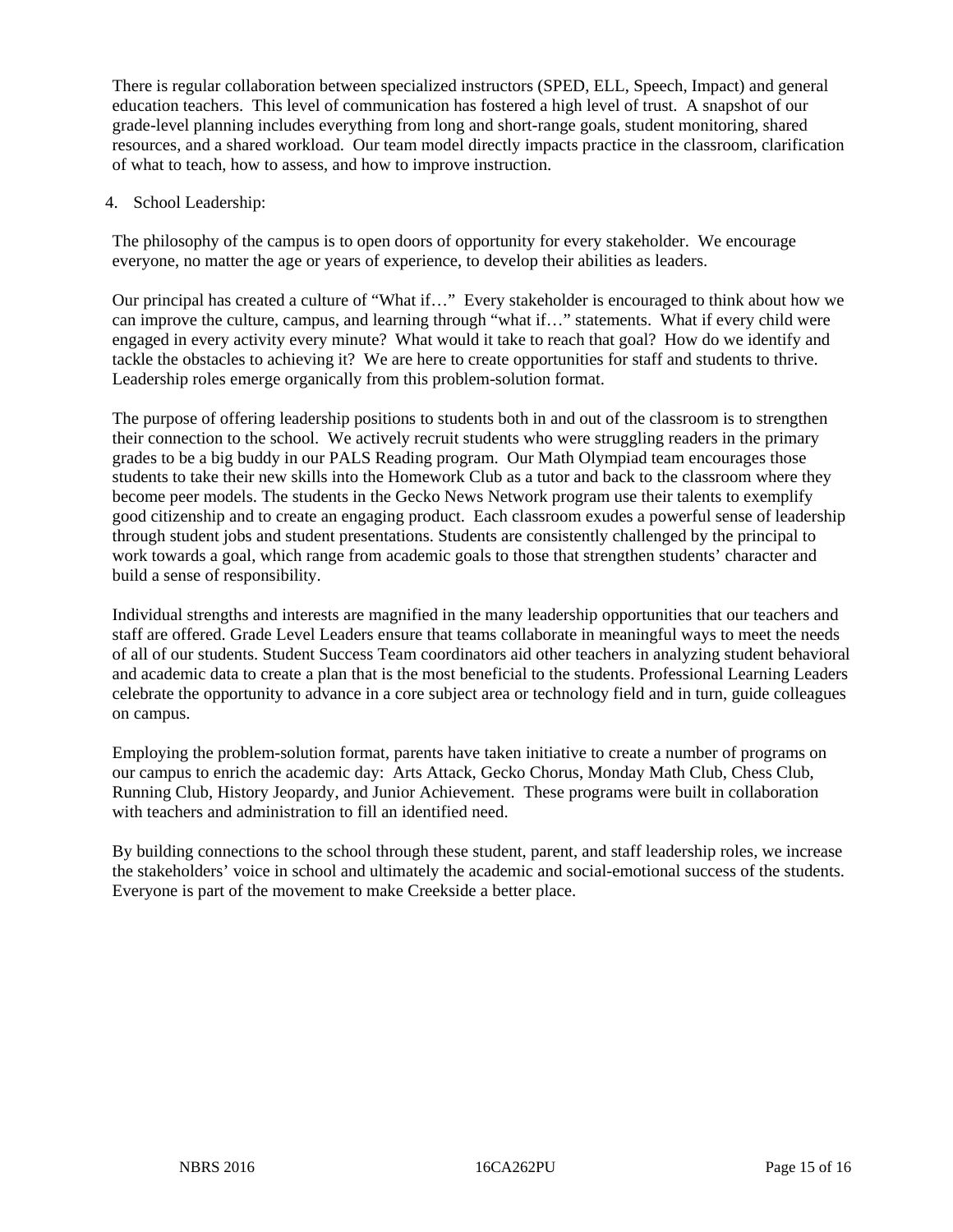There is regular collaboration between specialized instructors (SPED, ELL, Speech, Impact) and general education teachers. This level of communication has fostered a high level of trust. A snapshot of our grade-level planning includes everything from long and short-range goals, student monitoring, shared resources, and a shared workload. Our team model directly impacts practice in the classroom, clarification of what to teach, how to assess, and how to improve instruction.

# 4. School Leadership:

The philosophy of the campus is to open doors of opportunity for every stakeholder. We encourage everyone, no matter the age or years of experience, to develop their abilities as leaders.

Our principal has created a culture of "What if…" Every stakeholder is encouraged to think about how we can improve the culture, campus, and learning through "what if..." statements. What if every child were engaged in every activity every minute? What would it take to reach that goal? How do we identify and tackle the obstacles to achieving it? We are here to create opportunities for staff and students to thrive. Leadership roles emerge organically from this problem-solution format.

The purpose of offering leadership positions to students both in and out of the classroom is to strengthen their connection to the school. We actively recruit students who were struggling readers in the primary grades to be a big buddy in our PALS Reading program. Our Math Olympiad team encourages those students to take their new skills into the Homework Club as a tutor and back to the classroom where they become peer models. The students in the Gecko News Network program use their talents to exemplify good citizenship and to create an engaging product. Each classroom exudes a powerful sense of leadership through student jobs and student presentations. Students are consistently challenged by the principal to work towards a goal, which range from academic goals to those that strengthen students' character and build a sense of responsibility.

Individual strengths and interests are magnified in the many leadership opportunities that our teachers and staff are offered. Grade Level Leaders ensure that teams collaborate in meaningful ways to meet the needs of all of our students. Student Success Team coordinators aid other teachers in analyzing student behavioral and academic data to create a plan that is the most beneficial to the students. Professional Learning Leaders celebrate the opportunity to advance in a core subject area or technology field and in turn, guide colleagues on campus.

Employing the problem-solution format, parents have taken initiative to create a number of programs on our campus to enrich the academic day: Arts Attack, Gecko Chorus, Monday Math Club, Chess Club, Running Club, History Jeopardy, and Junior Achievement. These programs were built in collaboration with teachers and administration to fill an identified need.

By building connections to the school through these student, parent, and staff leadership roles, we increase the stakeholders' voice in school and ultimately the academic and social-emotional success of the students. Everyone is part of the movement to make Creekside a better place.